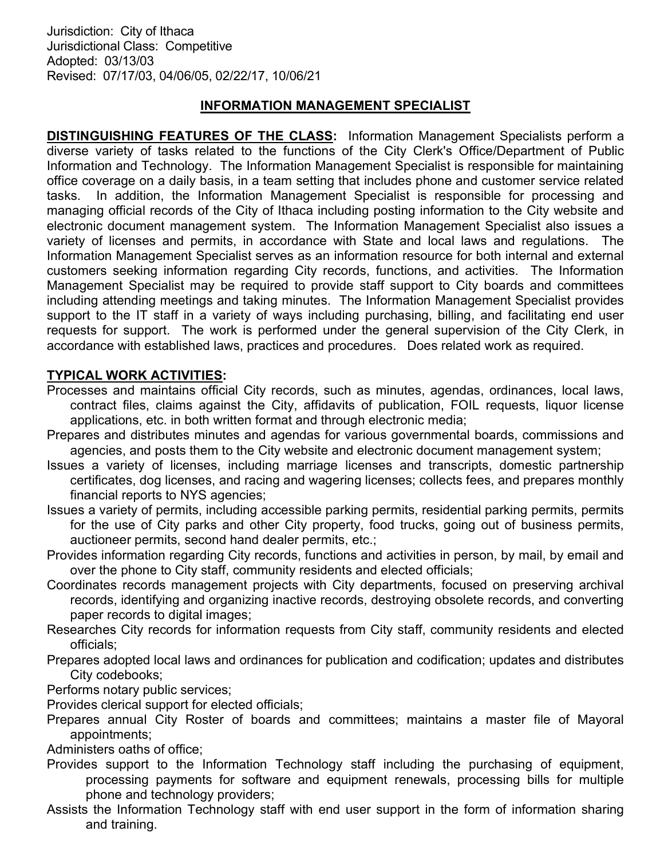### INFORMATION MANAGEMENT SPECIALIST

DISTINGUISHING FEATURES OF THE CLASS: Information Management Specialists perform a diverse variety of tasks related to the functions of the City Clerk's Office/Department of Public Information and Technology. The Information Management Specialist is responsible for maintaining office coverage on a daily basis, in a team setting that includes phone and customer service related tasks. In addition, the Information Management Specialist is responsible for processing and managing official records of the City of Ithaca including posting information to the City website and electronic document management system. The Information Management Specialist also issues a variety of licenses and permits, in accordance with State and local laws and regulations. The Information Management Specialist serves as an information resource for both internal and external customers seeking information regarding City records, functions, and activities. The Information Management Specialist may be required to provide staff support to City boards and committees including attending meetings and taking minutes. The Information Management Specialist provides support to the IT staff in a variety of ways including purchasing, billing, and facilitating end user requests for support. The work is performed under the general supervision of the City Clerk, in accordance with established laws, practices and procedures. Does related work as required.

#### TYPICAL WORK ACTIVITIES:

- Processes and maintains official City records, such as minutes, agendas, ordinances, local laws, contract files, claims against the City, affidavits of publication, FOIL requests, liquor license applications, etc. in both written format and through electronic media;
- Prepares and distributes minutes and agendas for various governmental boards, commissions and agencies, and posts them to the City website and electronic document management system;
- Issues a variety of licenses, including marriage licenses and transcripts, domestic partnership certificates, dog licenses, and racing and wagering licenses; collects fees, and prepares monthly financial reports to NYS agencies;
- Issues a variety of permits, including accessible parking permits, residential parking permits, permits for the use of City parks and other City property, food trucks, going out of business permits, auctioneer permits, second hand dealer permits, etc.;
- Provides information regarding City records, functions and activities in person, by mail, by email and over the phone to City staff, community residents and elected officials;
- Coordinates records management projects with City departments, focused on preserving archival records, identifying and organizing inactive records, destroying obsolete records, and converting paper records to digital images;
- Researches City records for information requests from City staff, community residents and elected officials;
- Prepares adopted local laws and ordinances for publication and codification; updates and distributes City codebooks;

Performs notary public services;

Provides clerical support for elected officials;

Prepares annual City Roster of boards and committees; maintains a master file of Mayoral appointments;

Administers oaths of office;

- Provides support to the Information Technology staff including the purchasing of equipment, processing payments for software and equipment renewals, processing bills for multiple phone and technology providers;
- Assists the Information Technology staff with end user support in the form of information sharing and training.